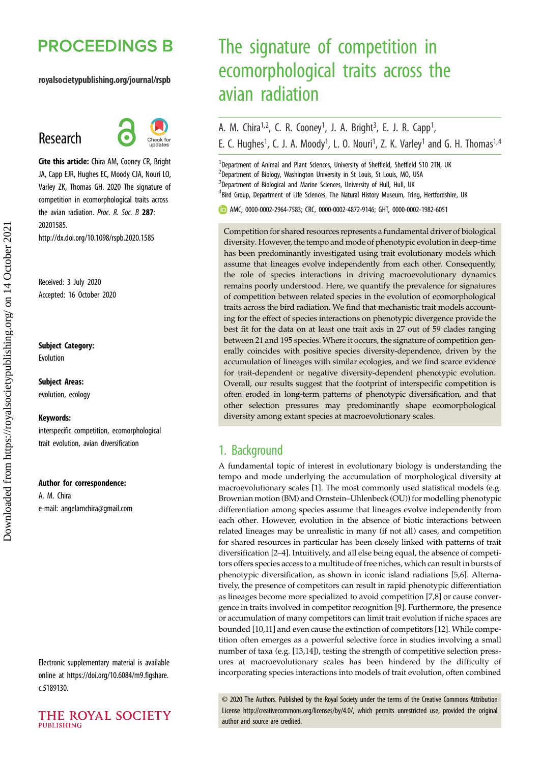## **PROCEEDINGS B**

#### royalsocietypublishing.org/journal/rspb

## Research



Cite this article: Chira AM, Cooney CR, Bright JA, Capp EJR, Hughes EC, Moody CJA, Nouri LO, Varley ZK, Thomas GH. 2020 The signature of competition in ecomorphological traits across the avian radiation. Proc. R. Soc. B 287: 20201585. http://dx.doi.org/10.1098/rspb.2020.1585

Received: 3 July 2020 Accepted: 16 October 2020

#### Subject Category:

Evolution

#### Subject Areas:

evolution, ecology

#### Keywords:

interspecific competition, ecomorphological trait evolution, avian diversification

#### Author for correspondence:

A. M. Chira e-mail: [angelamchira@gmail.com](mailto:angelamchira@gmail.com)

Electronic supplementary material is available online at [https://doi.org/10.6084/m9.figshare.](https://doi.org/10.6084/m9.figshare.c.5189130) [c.5189130.](https://doi.org/10.6084/m9.figshare.c.5189130)



# The signature of competition in ecomorphological traits across the avian radiation

#### A. M. Chira<sup>1,2</sup>, C. R. Cooney<sup>1</sup>, J. A. Bright<sup>3</sup>, E. J. R. Capp<sup>1</sup> , E. C. Hughes<sup>1</sup>, C. J. A. Moody<sup>1</sup>, L. O. Nouri<sup>1</sup>, Z. K. Varley<sup>1</sup> and G. H. Thomas<sup>1,4</sup>

<sup>1</sup> Department of Animal and Plant Sciences, University of Sheffield, Sheffield S10 2TN, UK <sup>2</sup>Department of Biology, Washington University in St Louis, St Louis, MO, USA

<sup>3</sup>Department of Biological and Marine Sciences, University of Hull, Hull, UK

<sup>4</sup>Bird Group, Department of Life Sciences, The Natural History Museum, Tring, Hertfordshire, UK

AMC, [0000-0002-2964-7583;](http://orcid.org/0000-0002-2964-7583) CRC, [0000-0002-4872-9146;](http://orcid.org/0000-0002-4872-9146) GHT, [0000-0002-1982-6051](http://orcid.org/0000-0002-1982-6051)

Competition for shared resources represents a fundamental driver of biological diversity. However, the tempo and mode of phenotypic evolution in deep-time has been predominantly investigated using trait evolutionary models which assume that lineages evolve independently from each other. Consequently, the role of species interactions in driving macroevolutionary dynamics remains poorly understood. Here, we quantify the prevalence for signatures of competition between related species in the evolution of ecomorphological traits across the bird radiation. We find that mechanistic trait models accounting for the effect of species interactions on phenotypic divergence provide the best fit for the data on at least one trait axis in 27 out of 59 clades ranging between 21 and 195 species. Where it occurs, the signature of competition generally coincides with positive species diversity-dependence, driven by the accumulation of lineages with similar ecologies, and we find scarce evidence for trait-dependent or negative diversity-dependent phenotypic evolution. Overall, our results suggest that the footprint of interspecific competition is often eroded in long-term patterns of phenotypic diversification, and that other selection pressures may predominantly shape ecomorphological diversity among extant species at macroevolutionary scales.

### 1. Background

A fundamental topic of interest in evolutionary biology is understanding the tempo and mode underlying the accumulation of morphological diversity at macroevolutionary scales [[1](#page-7-0)]. The most commonly used statistical models (e.g. Brownian motion (BM) and Ornstein–Uhlenbeck (OU)) for modelling phenotypic differentiation among species assume that lineages evolve independently from each other. However, evolution in the absence of biotic interactions between related lineages may be unrealistic in many (if not all) cases, and competition for shared resources in particular has been closely linked with patterns of trait diversification [[2](#page-7-0)–[4](#page-7-0)]. Intuitively, and all else being equal, the absence of competitors offers species access to a multitude of free niches, which can result in bursts of phenotypic diversification, as shown in iconic island radiations [[5,6\]](#page-7-0). Alternatively, the presence of competitors can result in rapid phenotypic differentiation as lineages become more specialized to avoid competition [[7,8\]](#page-7-0) or cause convergence in traits involved in competitor recognition [\[9\]](#page-7-0). Furthermore, the presence or accumulation of many competitors can limit trait evolution if niche spaces are bounded [\[10,11\]](#page-7-0) and even cause the extinction of competitors [\[12](#page-7-0)]. While competition often emerges as a powerful selective force in studies involving a small number of taxa (e.g. [\[13](#page-7-0),[14\]](#page-7-0)), testing the strength of competitive selection pressures at macroevolutionary scales has been hindered by the difficulty of incorporating species interactions into models of trait evolution, often combined

© 2020 The Authors. Published by the Royal Society under the terms of the Creative Commons Attribution License<http://creativecommons.org/licenses/by/4.0/>, which permits unrestricted use, provided the original author and source are credited.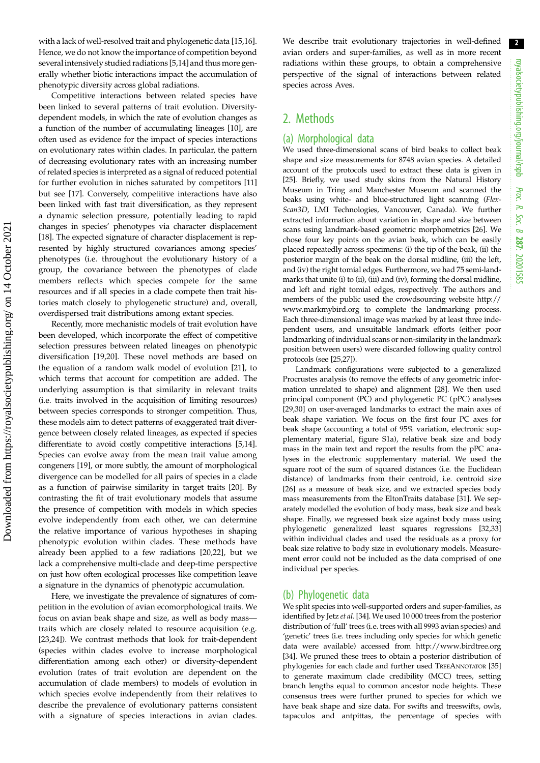with a lack of well-resolved trait and phylogenetic data [\[15,16](#page-7-0)]. Hence, we do not know the importance of competition beyond several intensively studied radiations [[5,14](#page-7-0)] and thus more generally whether biotic interactions impact the accumulation of phenotypic diversity across global radiations.

Competitive interactions between related species have been linked to several patterns of trait evolution. Diversitydependent models, in which the rate of evolution changes as a function of the number of accumulating lineages [[10\]](#page-7-0), are often used as evidence for the impact of species interactions on evolutionary rates within clades. In particular, the pattern of decreasing evolutionary rates with an increasing number of related species is interpreted as a signal of reduced potential for further evolution in niches saturated by competitors [\[11\]](#page-7-0) but see [[17\]](#page-7-0). Conversely, competitive interactions have also been linked with fast trait diversification, as they represent a dynamic selection pressure, potentially leading to rapid changes in species' phenotypes via character displacement [\[18](#page-7-0)]. The expected signature of character displacement is represented by highly structured covariances among species' phenotypes (i.e. throughout the evolutionary history of a group, the covariance between the phenotypes of clade members reflects which species compete for the same resources and if all species in a clade compete then trait histories match closely to phylogenetic structure) and, overall, overdispersed trait distributions among extant species.

Recently, more mechanistic models of trait evolution have been developed, which incorporate the effect of competitive selection pressures between related lineages on phenotypic diversification [\[19,20](#page-7-0)]. These novel methods are based on the equation of a random walk model of evolution [[21\]](#page-7-0), to which terms that account for competition are added. The underlying assumption is that similarity in relevant traits (i.e. traits involved in the acquisition of limiting resources) between species corresponds to stronger competition. Thus, these models aim to detect patterns of exaggerated trait divergence between closely related lineages, as expected if species differentiate to avoid costly competitive interactions [[5,14](#page-7-0)]. Species can evolve away from the mean trait value among congeners [[19\]](#page-7-0), or more subtly, the amount of morphological divergence can be modelled for all pairs of species in a clade as a function of pairwise similarity in target traits [\[20](#page-7-0)]. By contrasting the fit of trait evolutionary models that assume the presence of competition with models in which species evolve independently from each other, we can determine the relative importance of various hypotheses in shaping phenotypic evolution within clades. These methods have already been applied to a few radiations [\[20](#page-7-0),[22\]](#page-7-0), but we lack a comprehensive multi-clade and deep-time perspective on just how often ecological processes like competition leave a signature in the dynamics of phenotypic accumulation.

Here, we investigate the prevalence of signatures of competition in the evolution of avian ecomorphological traits. We focus on avian beak shape and size, as well as body mass traits which are closely related to resource acquisition (e.g. [\[23](#page-7-0),[24\]](#page-7-0)). We contrast methods that look for trait-dependent (species within clades evolve to increase morphological differentiation among each other) or diversity-dependent evolution (rates of trait evolution are dependent on the accumulation of clade members) to models of evolution in which species evolve independently from their relatives to describe the prevalence of evolutionary patterns consistent with a signature of species interactions in avian clades.

We describe trait evolutionary trajectories in well-defined avian orders and super-families, as well as in more recent radiations within these groups, to obtain a comprehensive perspective of the signal of interactions between related species across Aves.

## 2. Methods

#### (a) Morphological data

We used three-dimensional scans of bird beaks to collect beak shape and size measurements for 8748 avian species. A detailed account of the protocols used to extract these data is given in [[25](#page-7-0)]. Briefly, we used study skins from the Natural History Museum in Tring and Manchester Museum and scanned the beaks using white- and blue-structured light scanning (Flex-Scan3D, LMI Technologies, Vancouver, Canada). We further extracted information about variation in shape and size between scans using landmark-based geometric morphometrics [\[26\]](#page-7-0). We chose four key points on the avian beak, which can be easily placed repeatedly across specimens: (i) the tip of the beak, (ii) the posterior margin of the beak on the dorsal midline, (iii) the left, and (iv) the right tomial edges. Furthermore, we had 75 semi-landmarks that unite (i) to (ii), (iii) and (iv), forming the dorsal midline, and left and right tomial edges, respectively. The authors and members of the public used the crowdsourcing website [http://](http://www.markmybird.org) [www.markmybird.org](http://www.markmybird.org) to complete the landmarking process. Each three-dimensional image was marked by at least three independent users, and unsuitable landmark efforts (either poor landmarking of individual scans or non-similarity in the landmark position between users) were discarded following quality control protocols (see [\[25,27](#page-7-0)]).

Landmark configurations were subjected to a generalized Procrustes analysis (to remove the effects of any geometric information unrelated to shape) and alignment [\[28\]](#page-7-0). We then used principal component (PC) and phylogenetic PC (pPC) analyses [[29,30\]](#page-7-0) on user-averaged landmarks to extract the main axes of beak shape variation. We focus on the first four PC axes for beak shape (accounting a total of 95% variation, electronic supplementary material, figure S1a), relative beak size and body mass in the main text and report the results from the pPC analyses in the electronic supplementary material. We used the square root of the sum of squared distances (i.e. the Euclidean distance) of landmarks from their centroid, i.e. centroid size [[26](#page-7-0)] as a measure of beak size, and we extracted species body mass measurements from the EltonTraits database [\[31\]](#page-7-0). We separately modelled the evolution of body mass, beak size and beak shape. Finally, we regressed beak size against body mass using phylogenetic generalized least squares regressions [[32](#page-7-0),[33](#page-7-0)] within individual clades and used the residuals as a proxy for beak size relative to body size in evolutionary models. Measurement error could not be included as the data comprised of one individual per species.

#### (b) Phylogenetic data

We split species into well-supported orders and super-families, as identified by Jetz et al. [\[34\]](#page-7-0). We used 10 000 trees from the posterior distribution of 'full' trees (i.e. trees with all 9993 avian species) and 'genetic' trees (i.e. trees including only species for which genetic data were available) accessed from<http://www.birdtree.org> [[34](#page-7-0)]. We pruned these trees to obtain a posterior distribution of phylogenies for each clade and further used TREEANNOTATOR [[35](#page-7-0)] to generate maximum clade credibility (MCC) trees, setting branch lengths equal to common ancestor node heights. These consensus trees were further pruned to species for which we have beak shape and size data. For swifts and treeswifts, owls, tapaculos and antpittas, the percentage of species with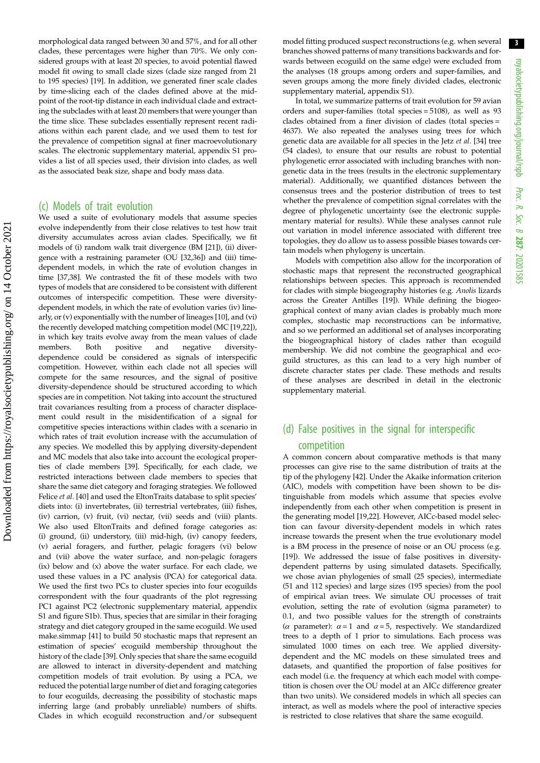morphological data ranged between 30 and 57%, and for all other clades, these percentages were higher than 70%. We only considered groups with at least 20 species, to avoid potential flawed model fit owing to small clade sizes (clade size ranged from 21 to 195 species) [[19](#page-7-0)]. In addition, we generated finer scale clades by time-slicing each of the clades defined above at the midpoint of the root-tip distance in each individual clade and extracting the subclades with at least 20 members that were younger than the time slice. These subclades essentially represent recent radiations within each parent clade, and we used them to test for the prevalence of competition signal at finer macroevolutionary scales. The electronic supplementary material, appendix S1 provides a list of all species used, their division into clades, as well as the associated beak size, shape and body mass data.

#### (c) Models of trait evolution

We used a suite of evolutionary models that assume species evolve independently from their close relatives to test how trait diversity accumulates across avian clades. Specifically, we fit models of (i) random walk trait divergence (BM [\[21\]](#page-7-0)), (ii) divergence with a restraining parameter (OU [\[32,36](#page-7-0)]) and (iii) timedependent models, in which the rate of evolution changes in time [\[37,38](#page-8-0)]. We contrasted the fit of these models with two types of models that are considered to be consistent with different outcomes of interspecific competition. These were diversitydependent models, in which the rate of evolution varies (iv) linearly, or (v) exponentially with the number of lineages [[10](#page-7-0)], and (vi) the recently developed matching competition model (MC [[19,22\]](#page-7-0)), in which key traits evolve away from the mean values of clade members. Both positive and negative diversitydependence could be considered as signals of interspecific competition. However, within each clade not all species will compete for the same resources, and the signal of positive diversity-dependence should be structured according to which species are in competition. Not taking into account the structured trait covariances resulting from a process of character displacement could result in the misidentification of a signal for competitive species interactions within clades with a scenario in which rates of trait evolution increase with the accumulation of any species. We modelled this by applying diversity-dependent and MC models that also take into account the ecological properties of clade members [[39](#page-8-0)]. Specifically, for each clade, we restricted interactions between clade members to species that share the same diet category and foraging strategies. We followed Felice et al. [[40](#page-8-0)] and used the EltonTraits database to split species' diets into: (i) invertebrates, (ii) terrestrial vertebrates, (iii) fishes, (iv) carrion, (v) fruit, (vi) nectar, (vii) seeds and (viii) plants. We also used EltonTraits and defined forage categories as: (i) ground, (ii) understory, (iii) mid-high, (iv) canopy feeders, (v) aerial foragers, and further, pelagic foragers (vi) below and (vii) above the water surface, and non-pelagic foragers (ix) below and (x) above the water surface. For each clade, we used these values in a PC analysis (PCA) for categorical data. We used the first two PCs to cluster species into four ecoguilds correspondent with the four quadrants of the plot regressing PC1 against PC2 (electronic supplementary material, appendix S1 and figure S1b). Thus, species that are similar in their foraging strategy and diet category grouped in the same ecoguild. We used make.simmap [\[41\]](#page-8-0) to build 50 stochastic maps that represent an estimation of species' ecoguild membership throughout the history of the clade [\[39\]](#page-8-0). Only species that share the same ecoguild are allowed to interact in diversity-dependent and matching competition models of trait evolution. By using a PCA, we reduced the potential large number of diet and foraging categories to four ecoguilds, decreasing the possibility of stochastic maps inferring large (and probably unreliable) numbers of shifts. Clades in which ecoguild reconstruction and/or subsequent model fitting produced suspect reconstructions (e.g. when several branches showed patterns of many transitions backwards and forwards between ecoguild on the same edge) were excluded from the analyses (18 groups among orders and super-families, and seven groups among the more finely divided clades, electronic supplementary material, appendix S1).

In total, we summarize patterns of trait evolution for 59 avian orders and super-families (total species = 5108), as well as 93 clades obtained from a finer division of clades (total species = 4637). We also repeated the analyses using trees for which genetic data are available for all species in the Jetz et al. [\[34\]](#page-7-0) tree (54 clades), to ensure that our results are robust to potential phylogenetic error associated with including branches with nongenetic data in the trees (results in the electronic supplementary material). Additionally, we quantified distances between the consensus trees and the posterior distribution of trees to test whether the prevalence of competition signal correlates with the degree of phylogenetic uncertainty (see the electronic supplementary material for results). While these analyses cannot rule out variation in model inference associated with different tree topologies, they do allow us to assess possible biases towards certain models when phylogeny is uncertain.

Models with competition also allow for the incorporation of stochastic maps that represent the reconstructed geographical relationships between species. This approach is recommended for clades with simple biogeography histories (e.g. Anolis lizards across the Greater Antilles [[19](#page-7-0)]). While defining the biogeographical context of many avian clades is probably much more complex, stochastic map reconstructions can be informative, and so we performed an additional set of analyses incorporating the biogeographical history of clades rather than ecoguild membership. We did not combine the geographical and ecoguild structures, as this can lead to a very high number of discrete character states per clade. These methods and results of these analyses are described in detail in the electronic supplementary material.

## (d) False positives in the signal for interspecific

#### competition

A common concern about comparative methods is that many processes can give rise to the same distribution of traits at the tip of the phylogeny [[42](#page-8-0)]. Under the Akaike information criterion (AIC), models with competition have been shown to be distinguishable from models which assume that species evolve independently from each other when competition is present in the generating model [\[19,22](#page-7-0)]. However, AICc-based model selection can favour diversity-dependent models in which rates increase towards the present when the true evolutionary model is a BM process in the presence of noise or an OU process (e.g. [[19](#page-7-0)]). We addressed the issue of false positives in diversitydependent patterns by using simulated datasets. Specifically, we chose avian phylogenies of small (25 species), intermediate (51 and 112 species) and large sizes (195 species) from the pool of empirical avian trees. We simulate OU processes of trait evolution, setting the rate of evolution (sigma parameter) to 0.1, and two possible values for the strength of constraints ( $\alpha$  parameter):  $\alpha = 1$  and  $\alpha = 5$ , respectively. We standardized trees to a depth of 1 prior to simulations. Each process was simulated 1000 times on each tree. We applied diversitydependent and the MC models on these simulated trees and datasets, and quantified the proportion of false positives for each model (i.e. the frequency at which each model with competition is chosen over the OU model at an AICc difference greater than two units). We considered models in which all species can interact, as well as models where the pool of interactive species is restricted to close relatives that share the same ecoguild.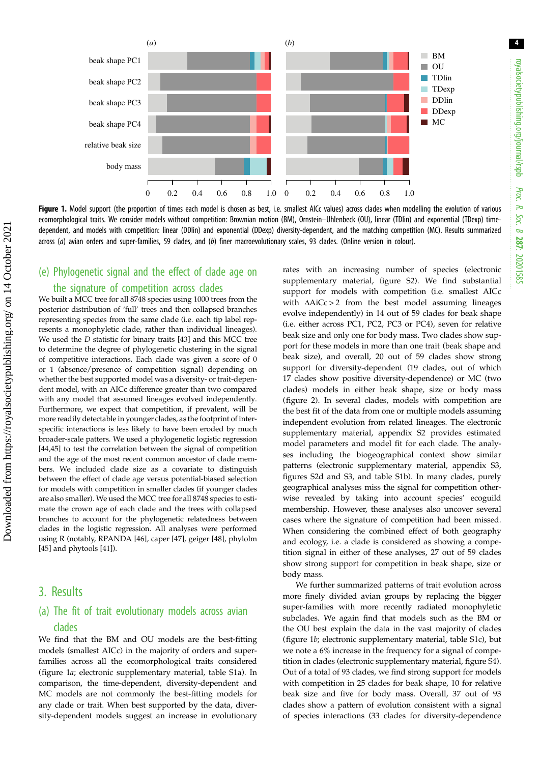

Figure 1. Model support (the proportion of times each model is chosen as best, i.e. smallest AICc values) across clades when modelling the evolution of various ecomorphological traits. We consider models without competition: Brownian motion (BM), Ornstein–Uhlenbeck (OU), linear (TDlin) and exponential (TDexp) timedependent, and models with competition: linear (DDlin) and exponential (DDexp) diversity-dependent, and the matching competition (MC). Results summarized across (a) avian orders and super-families, 59 clades, and (b) finer macroevolutionary scales, 93 clades. (Online version in colour).

## (e) Phylogenetic signal and the effect of clade age on the signature of competition across clades

We built a MCC tree for all 8748 species using 1000 trees from the posterior distribution of 'full' trees and then collapsed branches representing species from the same clade (i.e. each tip label represents a monophyletic clade, rather than individual lineages). We used the D statistic for binary traits [\[43\]](#page-8-0) and this MCC tree to determine the degree of phylogenetic clustering in the signal of competitive interactions. Each clade was given a score of 0 or 1 (absence/presence of competition signal) depending on whether the best supported model was a diversity- or trait-dependent model, with an AICc difference greater than two compared with any model that assumed lineages evolved independently. Furthermore, we expect that competition, if prevalent, will be more readily detectable in younger clades, as the footprint of interspecific interactions is less likely to have been eroded by much broader-scale patters. We used a phylogenetic logistic regression [\[44,45](#page-8-0)] to test the correlation between the signal of competition and the age of the most recent common ancestor of clade members. We included clade size as a covariate to distinguish between the effect of clade age versus potential-biased selection for models with competition in smaller clades (if younger clades are also smaller). We used the MCC tree for all 8748 species to estimate the crown age of each clade and the trees with collapsed branches to account for the phylogenetic relatedness between clades in the logistic regression. All analyses were performed using R (notably, RPANDA [[46](#page-8-0)], caper [\[47\]](#page-8-0), geiger [\[48\]](#page-8-0), phylolm [\[45\]](#page-8-0) and phytools [\[41\]](#page-8-0)).

## 3. Results

## (a) The fit of trait evolutionary models across avian clades

We find that the BM and OU models are the best-fitting models (smallest AICc) in the majority of orders and superfamilies across all the ecomorphological traits considered (figure 1a; electronic supplementary material, table S1a). In comparison, the time-dependent, diversity-dependent and MC models are not commonly the best-fitting models for any clade or trait. When best supported by the data, diversity-dependent models suggest an increase in evolutionary rates with an increasing number of species (electronic supplementary material, figure S2). We find substantial support for models with competition (i.e. smallest AICc with  $\Delta A i Cc > 2$  from the best model assuming lineages evolve independently) in 14 out of 59 clades for beak shape (i.e. either across PC1, PC2, PC3 or PC4), seven for relative beak size and only one for body mass. Two clades show support for these models in more than one trait (beak shape and beak size), and overall, 20 out of 59 clades show strong support for diversity-dependent (19 clades, out of which 17 clades show positive diversity-dependence) or MC (two clades) models in either beak shape, size or body mass ([figure 2\)](#page-4-0). In several clades, models with competition are the best fit of the data from one or multiple models assuming independent evolution from related lineages. The electronic supplementary material, appendix S2 provides estimated model parameters and model fit for each clade. The analyses including the biogeographical context show similar patterns (electronic supplementary material, appendix S3, figures S2d and S3, and table S1b). In many clades, purely geographical analyses miss the signal for competition otherwise revealed by taking into account species' ecoguild membership. However, these analyses also uncover several cases where the signature of competition had been missed. When considering the combined effect of both geography and ecology, i.e. a clade is considered as showing a competition signal in either of these analyses, 27 out of 59 clades show strong support for competition in beak shape, size or body mass.

We further summarized patterns of trait evolution across more finely divided avian groups by replacing the bigger super-families with more recently radiated monophyletic subclades. We again find that models such as the BM or the OU best explain the data in the vast majority of clades (figure 1b; electronic supplementary material, table S1c), but we note a 6% increase in the frequency for a signal of competition in clades (electronic supplementary material, figure S4). Out of a total of 93 clades, we find strong support for models with competition in 25 clades for beak shape, 10 for relative beak size and five for body mass. Overall, 37 out of 93 clades show a pattern of evolution consistent with a signal of species interactions (33 clades for diversity-dependence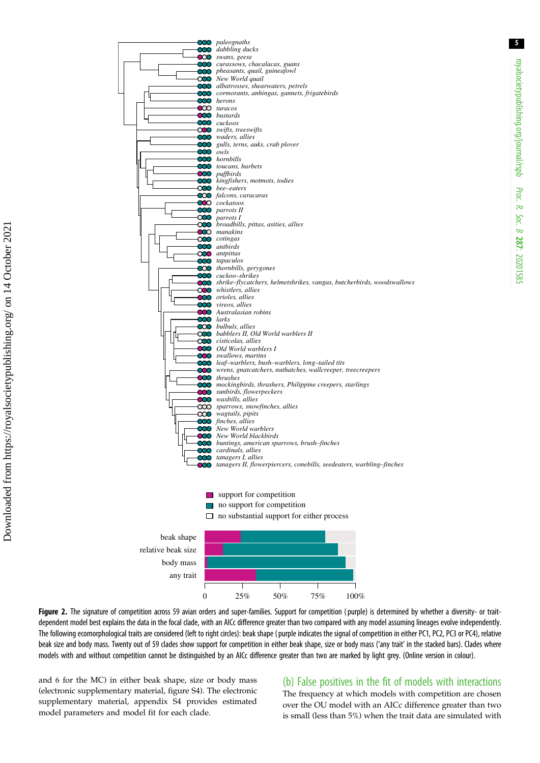<span id="page-4-0"></span>

Figure 2. The signature of competition across 59 avian orders and super-families. Support for competition (purple) is determined by whether a diversity- or traitdependent model best explains the data in the focal clade, with an AICc difference greater than two compared with any model assuming lineages evolve independently. The following ecomorphological traits are considered (left to right circles): beak shape (purple indicates the signal of competition in either PC1, PC2, PC3 or PC4), relative beak size and body mass. Twenty out of 59 clades show support for competition in either beak shape, size or body mass ('any trait' in the stacked bars). Clades where models with and without competition cannot be distinguished by an AICc difference greater than two are marked by light grey. (Online version in colour).

and 6 for the MC) in either beak shape, size or body mass (electronic supplementary material, figure S4). The electronic supplementary material, appendix S4 provides estimated model parameters and model fit for each clade.

#### (b) False positives in the fit of models with interactions The frequency at which models with competition are chosen over the OU model with an AICc difference greater than two is small (less than 5%) when the trait data are simulated with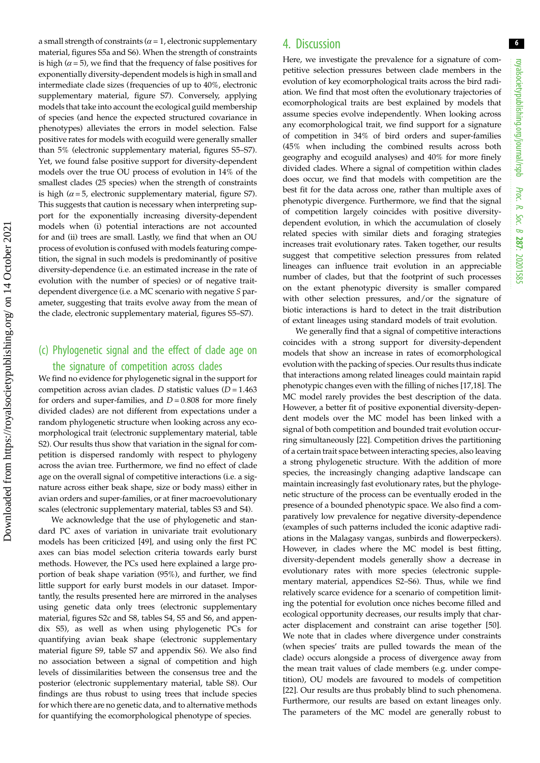a small strength of constraints ( $\alpha$  = 1, electronic supplementary material, figures S5a and S6). When the strength of constraints is high ( $\alpha$  = 5), we find that the frequency of false positives for exponentially diversity-dependent models is high in small and intermediate clade sizes (frequencies of up to 40%, electronic supplementary material, figure S7). Conversely, applying models that take into account the ecological guild membership of species (and hence the expected structured covariance in phenotypes) alleviates the errors in model selection. False positive rates for models with ecoguild were generally smaller than 5% (electronic supplementary material, figures S5–S7). Yet, we found false positive support for diversity-dependent models over the true OU process of evolution in 14% of the smallest clades (25 species) when the strength of constraints is high ( $\alpha$  = 5, electronic supplementary material, figure S7). This suggests that caution is necessary when interpreting support for the exponentially increasing diversity-dependent models when (i) potential interactions are not accounted for and (ii) trees are small. Lastly, we find that when an OU process of evolution is confused with models featuring competition, the signal in such models is predominantly of positive diversity-dependence (i.e. an estimated increase in the rate of evolution with the number of species) or of negative traitdependent divergence (i.e. a MC scenario with negative S parameter, suggesting that traits evolve away from the mean of the clade, electronic supplementary material, figures S5–S7).

## (c) Phylogenetic signal and the effect of clade age on the signature of competition across clades

We find no evidence for phylogenetic signal in the support for competition across avian clades. D statistic values  $(D = 1.463)$ for orders and super-families, and  $D = 0.808$  for more finely divided clades) are not different from expectations under a random phylogenetic structure when looking across any ecomorphological trait (electronic supplementary material, table S2). Our results thus show that variation in the signal for competition is dispersed randomly with respect to phylogeny across the avian tree. Furthermore, we find no effect of clade age on the overall signal of competitive interactions (i.e. a signature across either beak shape, size or body mass) either in avian orders and super-families, or at finer macroevolutionary scales (electronic supplementary material, tables S3 and S4).

We acknowledge that the use of phylogenetic and standard PC axes of variation in univariate trait evolutionary models has been criticized [\[49](#page-8-0)], and using only the first PC axes can bias model selection criteria towards early burst methods. However, the PCs used here explained a large proportion of beak shape variation (95%), and further, we find little support for early burst models in our dataset. Importantly, the results presented here are mirrored in the analyses using genetic data only trees (electronic supplementary material, figures S2c and S8, tables S4, S5 and S6, and appendix S5), as well as when using phylogenetic PCs for quantifying avian beak shape (electronic supplementary material figure S9, table S7 and appendix S6). We also find no association between a signal of competition and high levels of dissimilarities between the consensus tree and the posterior (electronic supplementary material, table S8). Our findings are thus robust to using trees that include species for which there are no genetic data, and to alternative methods for quantifying the ecomorphological phenotype of species.

#### 4. Discussion

Here, we investigate the prevalence for a signature of competitive selection pressures between clade members in the evolution of key ecomorphological traits across the bird radiation. We find that most often the evolutionary trajectories of ecomorphological traits are best explained by models that assume species evolve independently. When looking across any ecomorphological trait, we find support for a signature of competition in 34% of bird orders and super-families (45% when including the combined results across both geography and ecoguild analyses) and 40% for more finely divided clades. Where a signal of competition within clades does occur, we find that models with competition are the best fit for the data across one, rather than multiple axes of phenotypic divergence. Furthermore, we find that the signal of competition largely coincides with positive diversitydependent evolution, in which the accumulation of closely related species with similar diets and foraging strategies increases trait evolutionary rates. Taken together, our results suggest that competitive selection pressures from related lineages can influence trait evolution in an appreciable number of clades, but that the footprint of such processes on the extant phenotypic diversity is smaller compared with other selection pressures, and/or the signature of biotic interactions is hard to detect in the trait distribution of extant lineages using standard models of trait evolution.

We generally find that a signal of competitive interactions coincides with a strong support for diversity-dependent models that show an increase in rates of ecomorphological evolution with the packing of species. Our results thus indicate that interactions among related lineages could maintain rapid phenotypic changes even with the filling of niches [[17,18\]](#page-7-0). The MC model rarely provides the best description of the data. However, a better fit of positive exponential diversity-dependent models over the MC model has been linked with a signal of both competition and bounded trait evolution occurring simultaneously [\[22](#page-7-0)]. Competition drives the partitioning of a certain trait space between interacting species, also leaving a strong phylogenetic structure. With the addition of more species, the increasingly changing adaptive landscape can maintain increasingly fast evolutionary rates, but the phylogenetic structure of the process can be eventually eroded in the presence of a bounded phenotypic space. We also find a comparatively low prevalence for negative diversity-dependence (examples of such patterns included the iconic adaptive radiations in the Malagasy vangas, sunbirds and flowerpeckers). However, in clades where the MC model is best fitting, diversity-dependent models generally show a decrease in evolutionary rates with more species (electronic supplementary material, appendices S2–S6). Thus, while we find relatively scarce evidence for a scenario of competition limiting the potential for evolution once niches become filled and ecological opportunity decreases, our results imply that character displacement and constraint can arise together [[50\]](#page-8-0). We note that in clades where divergence under constraints (when species' traits are pulled towards the mean of the clade) occurs alongside a process of divergence away from the mean trait values of clade members (e.g. under competition), OU models are favoured to models of competition [[22\]](#page-7-0). Our results are thus probably blind to such phenomena. Furthermore, our results are based on extant lineages only. The parameters of the MC model are generally robust to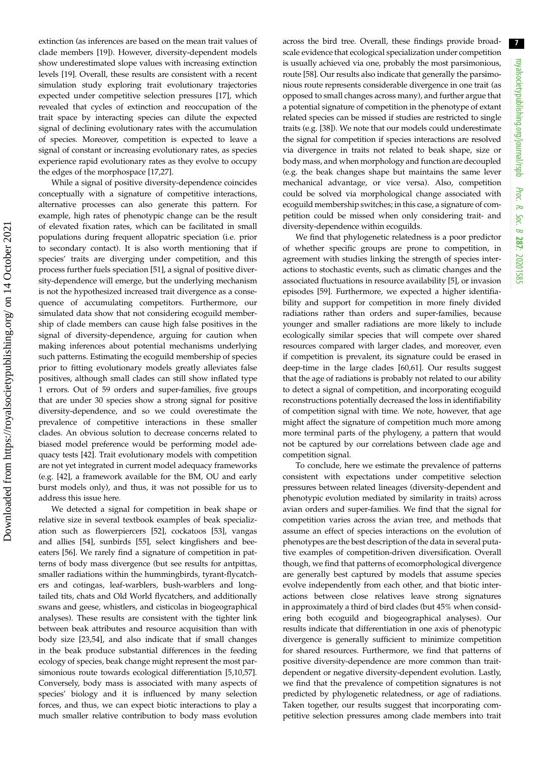extinction (as inferences are based on the mean trait values of clade members [[19\]](#page-7-0)). However, diversity-dependent models show underestimated slope values with increasing extinction levels [[19\]](#page-7-0). Overall, these results are consistent with a recent simulation study exploring trait evolutionary trajectories expected under competitive selection pressures [\[17](#page-7-0)], which revealed that cycles of extinction and reoccupation of the trait space by interacting species can dilute the expected signal of declining evolutionary rates with the accumulation of species. Moreover, competition is expected to leave a signal of constant or increasing evolutionary rates, as species experience rapid evolutionary rates as they evolve to occupy the edges of the morphospace [\[17,27](#page-7-0)].

While a signal of positive diversity-dependence coincides conceptually with a signature of competitive interactions, alternative processes can also generate this pattern. For example, high rates of phenotypic change can be the result of elevated fixation rates, which can be facilitated in small populations during frequent allopatric speciation (i.e. prior to secondary contact). It is also worth mentioning that if species' traits are diverging under competition, and this process further fuels speciation [[51\]](#page-8-0), a signal of positive diversity-dependence will emerge, but the underlying mechanism is not the hypothesized increased trait divergence as a consequence of accumulating competitors. Furthermore, our simulated data show that not considering ecoguild membership of clade members can cause high false positives in the signal of diversity-dependence, arguing for caution when making inferences about potential mechanisms underlying such patterns. Estimating the ecoguild membership of species prior to fitting evolutionary models greatly alleviates false positives, although small clades can still show inflated type 1 errors. Out of 59 orders and super-families, five groups that are under 30 species show a strong signal for positive diversity-dependence, and so we could overestimate the prevalence of competitive interactions in these smaller clades. An obvious solution to decrease concerns related to biased model preference would be performing model adequacy tests [\[42](#page-8-0)]. Trait evolutionary models with competition are not yet integrated in current model adequacy frameworks (e.g. [[42\]](#page-8-0), a framework available for the BM, OU and early burst models only), and thus, it was not possible for us to address this issue here.

We detected a signal for competition in beak shape or relative size in several textbook examples of beak specialization such as flowerpiercers [\[52](#page-8-0)], cockatoos [[53\]](#page-8-0), vangas and allies [[54\]](#page-8-0), sunbirds [[55](#page-8-0)], select kingfishers and beeeaters [\[56](#page-8-0)]. We rarely find a signature of competition in patterns of body mass divergence (but see results for antpittas, smaller radiations within the hummingbirds, tyrant-flycatchers and cotingas, leaf-warblers, bush-warblers and longtailed tits, chats and Old World flycatchers, and additionally swans and geese, whistlers, and cisticolas in biogeographical analyses). These results are consistent with the tighter link between beak attributes and resource acquisition than with body size [[23,](#page-7-0)[54](#page-8-0)], and also indicate that if small changes in the beak produce substantial differences in the feeding ecology of species, beak change might represent the most parsimonious route towards ecological differentiation [\[5,10](#page-7-0)[,57](#page-8-0)]. Conversely, body mass is associated with many aspects of species' biology and it is influenced by many selection forces, and thus, we can expect biotic interactions to play a much smaller relative contribution to body mass evolution across the bird tree. Overall, these findings provide broadscale evidence that ecological specialization under competition is usually achieved via one, probably the most parsimonious, route [\[58](#page-8-0)]. Our results also indicate that generally the parsimonious route represents considerable divergence in one trait (as opposed to small changes across many), and further argue that a potential signature of competition in the phenotype of extant related species can be missed if studies are restricted to single traits (e.g. [\[38](#page-8-0)]). We note that our models could underestimate the signal for competition if species interactions are resolved via divergence in traits not related to beak shape, size or body mass, and when morphology and function are decoupled (e.g. the beak changes shape but maintains the same lever mechanical advantage, or vice versa). Also, competition could be solved via morphological change associated with ecoguild membership switches; in this case, a signature of competition could be missed when only considering trait- and diversity-dependence within ecoguilds.

We find that phylogenetic relatedness is a poor predictor of whether specific groups are prone to competition, in agreement with studies linking the strength of species interactions to stochastic events, such as climatic changes and the associated fluctuations in resource availability [[5](#page-7-0)], or invasion episodes [[59\]](#page-8-0). Furthermore, we expected a higher identifiability and support for competition in more finely divided radiations rather than orders and super-families, because younger and smaller radiations are more likely to include ecologically similar species that will compete over shared resources compared with larger clades, and moreover, even if competition is prevalent, its signature could be erased in deep-time in the large clades [[60,61](#page-8-0)]. Our results suggest that the age of radiations is probably not related to our ability to detect a signal of competition, and incorporating ecoguild reconstructions potentially decreased the loss in identifiability of competition signal with time. We note, however, that age might affect the signature of competition much more among more terminal parts of the phylogeny, a pattern that would not be captured by our correlations between clade age and competition signal.

To conclude, here we estimate the prevalence of patterns consistent with expectations under competitive selection pressures between related lineages (diversity-dependent and phenotypic evolution mediated by similarity in traits) across avian orders and super-families. We find that the signal for competition varies across the avian tree, and methods that assume an effect of species interactions on the evolution of phenotypes are the best description of the data in several putative examples of competition-driven diversification. Overall though, we find that patterns of ecomorphological divergence are generally best captured by models that assume species evolve independently from each other, and that biotic interactions between close relatives leave strong signatures in approximately a third of bird clades (but 45% when considering both ecoguild and biogeographical analyses). Our results indicate that differentiation in one axis of phenotypic divergence is generally sufficient to minimize competition for shared resources. Furthermore, we find that patterns of positive diversity-dependence are more common than traitdependent or negative diversity-dependent evolution. Lastly, we find that the prevalence of competition signatures is not predicted by phylogenetic relatedness, or age of radiations. Taken together, our results suggest that incorporating competitive selection pressures among clade members into trait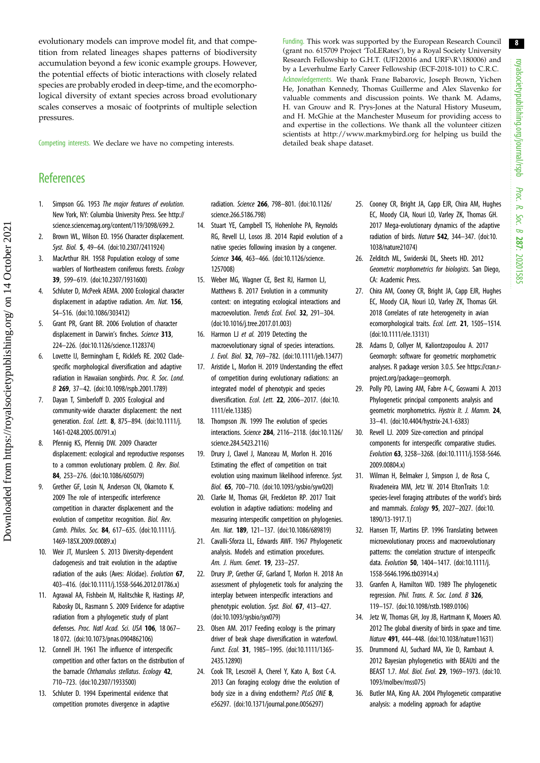8 royalsocietypublishing.org/journal/rspb royalsocietypublishing.org/journal/rspb Proc. R. Soc. $\sigma$ 287: 20201585

<span id="page-7-0"></span>evolutionary models can improve model fit, and that competition from related lineages shapes patterns of biodiversity accumulation beyond a few iconic example groups. However, the potential effects of biotic interactions with closely related species are probably eroded in deep-time, and the ecomorphological diversity of extant species across broad evolutionary scales conserves a mosaic of footprints of multiple selection pressures.

Competing interests. We declare we have no competing interests.

## References

Downloaded from https://royalsocietypublishing.org/ on 14 October 2021

Downloaded from https://royalsocietypublishing.org/ on 14 October 2021

- 1. Simpson GG. 1953 The major features of evolution. New York, NY: Columbia University Press. See [http://](http://science.sciencemag.org/content/119/3098/699.2) [science.sciencemag.org/content/119/3098/699.2.](http://science.sciencemag.org/content/119/3098/699.2)
- 2. Brown WL, Wilson EO. 1956 Character displacement. Syst. Biol. 5, 49–64. [\(doi:10.2307/2411924](http://dx.doi.org/10.2307/2411924))
- 3. MacArthur RH. 1958 Population ecology of some warblers of Northeastern coniferous forests. Ecology 39, 599–619. ([doi:10.2307/1931600](http://dx.doi.org/10.2307/1931600))
- 4. Schluter D, McPeek AEMA. 2000 Ecological character displacement in adaptive radiation. Am. Nat. 156, S4–S16. [\(doi:10.1086/303412\)](http://dx.doi.org/10.1086/303412)
- 5. Grant PR, Grant BR. 2006 Evolution of character displacement in Darwin's finches. Science 313, 224–226. ([doi:10.1126/science.1128374\)](http://dx.doi.org/10.1126/science.1128374)
- 6. Lovette IJ, Bermingham E, Ricklefs RE. 2002 Cladespecific morphological diversification and adaptive radiation in Hawaiian songbirds. Proc. R. Soc. Lond. B 269, 37–42. ([doi:10.1098/rspb.2001.1789](http://dx.doi.org/10.1098/rspb.2001.1789))
- 7. Dayan T, Simberloff D. 2005 Ecological and community-wide character displacement: the next generation. Ecol. Lett. 8, 875–894. [\(doi:10.1111/j.](http://dx.doi.org/10.1111/j.1461-0248.2005.00791.x) [1461-0248.2005.00791.x\)](http://dx.doi.org/10.1111/j.1461-0248.2005.00791.x)
- 8. Pfennig KS, Pfennig DW. 2009 Character displacement: ecological and reproductive responses to a common evolutionary problem. Q. Rev. Biol. 84, 253–276. ([doi:10.1086/605079\)](http://dx.doi.org/10.1086/605079)
- 9. Grether GF, Losin N, Anderson CN, Okamoto K. 2009 The role of interspecific interference competition in character displacement and the evolution of competitor recognition. Biol. Rev. Camb. Philos. Soc. 84, 617–635. ([doi:10.1111/j.](http://dx.doi.org/10.1111/j.1469-185X.2009.00089.x) [1469-185X.2009.00089.x](http://dx.doi.org/10.1111/j.1469-185X.2009.00089.x))
- 10. Weir JT, Mursleen S. 2013 Diversity-dependent cladogenesis and trait evolution in the adaptive radiation of the auks (Aves: Alcidae). Evolution 67, 403–416. ([doi:10.1111/j.1558-5646.2012.01786.x\)](http://dx.doi.org/10.1111/j.1558-5646.2012.01786.x)
- 11. Agrawal AA, Fishbein M, Halitschke R, Hastings AP, Rabosky DL, Rasmann S. 2009 Evidence for adaptive radiation from a phylogenetic study of plant defenses. Proc. Natl Acad. Sci. USA 106, 18067-18 072. ([doi:10.1073/pnas.0904862106\)](http://dx.doi.org/10.1073/pnas.0904862106)
- 12. Connell JH. 1961 The influence of interspecific competition and other factors on the distribution of the barnacle Chthamalus stellatus. Ecology 42, 710–723. ([doi:10.2307/1933500\)](http://dx.doi.org/10.2307/1933500)
- 13. Schluter D. 1994 Experimental evidence that competition promotes divergence in adaptive

radiation. Science 266, 798–801. [\(doi:10.1126/](http://dx.doi.org/10.1126/science.266.5186.798) [science.266.5186.798\)](http://dx.doi.org/10.1126/science.266.5186.798)

detailed beak shape dataset.

- 14. Stuart YE, Campbell TS, Hohenlohe PA, Reynolds RG, Revell LJ, Losos JB. 2014 Rapid evolution of a native species following invasion by a congener. Science 346, 463–466. ([doi:10.1126/science.](http://dx.doi.org/10.1126/science.1257008) [1257008\)](http://dx.doi.org/10.1126/science.1257008)
- 15. Weber MG, Wagner CE, Best RJ, Harmon LJ, Matthews B. 2017 Evolution in a community context: on integrating ecological interactions and macroevolution. Trends Ecol. Evol. 32, 291-304. [\(doi:10.1016/j.tree.2017.01.003](http://dx.doi.org/10.1016/j.tree.2017.01.003))
- 16. Harmon LJ et al. 2019 Detecting the macroevolutionary signal of species interactions. J. Evol. Biol. 32, 769–782. ([doi:10.1111/jeb.13477](http://dx.doi.org/10.1111/jeb.13477))
- 17. Aristide L, Morlon H. 2019 Understanding the effect of competition during evolutionary radiations: an integrated model of phenotypic and species diversification. Ecol. Lett. 22, 2006-2017. ([doi:10.](http://dx.doi.org/10.1111/ele.13385) [1111/ele.13385](http://dx.doi.org/10.1111/ele.13385))
- 18. Thompson JN. 1999 The evolution of species interactions. Science 284, 2116–2118. [\(doi:10.1126/](http://dx.doi.org/10.1126/science.284.5423.2116) [science.284.5423.2116](http://dx.doi.org/10.1126/science.284.5423.2116))
- 19. Drury J, Clavel J, Manceau M, Morlon H. 2016 Estimating the effect of competition on trait evolution using maximum likelihood inference. Syst. Biol. 65, 700–710. ([doi:10.1093/sysbio/syw020](http://dx.doi.org/10.1093/sysbio/syw020))
- 20. Clarke M, Thomas GH, Freckleton RP. 2017 Trait evolution in adaptive radiations: modeling and measuring interspecific competition on phylogenies. Am. Nat. 189, 121–137. [\(doi:10.1086/689819](http://dx.doi.org/10.1086/689819))
- 21. Cavalli-Sforza LL, Edwards AWF. 1967 Phylogenetic analysis. Models and estimation procedures. Am. J. Hum. Genet. 19, 233–257.
- 22. Drury JP, Grether GF, Garland T, Morlon H. 2018 An assessment of phylogenetic tools for analyzing the interplay between interspecific interactions and phenotypic evolution. Syst. Biol. 67, 413–427. [\(doi:10.1093/sysbio/syx079\)](http://dx.doi.org/10.1093/sysbio/syx079)
- 23. Olsen AM. 2017 Feeding ecology is the primary driver of beak shape diversification in waterfowl. Funct. Ecol. 31, 1985–1995. ([doi:10.1111/1365-](http://dx.doi.org/10.1111/1365-2435.12890) [2435.12890\)](http://dx.doi.org/10.1111/1365-2435.12890)
- 24. Cook TR, Lescroël A, Cherel Y, Kato A, Bost C-A. 2013 Can foraging ecology drive the evolution of body size in a diving endotherm? PLoS ONE 8, e56297. ([doi:10.1371/journal.pone.0056297](http://dx.doi.org/10.1371/journal.pone.0056297))

25. Cooney CR, Bright JA, Capp EJR, Chira AM, Hughes EC, Moody CJA, Nouri LO, Varley ZK, Thomas GH. 2017 Mega-evolutionary dynamics of the adaptive radiation of birds. Nature 542, 344–347. ([doi:10.](http://dx.doi.org/10.1038/nature21074) [1038/nature21074](http://dx.doi.org/10.1038/nature21074))

Funding. This work was supported by the European Research Council (grant no. 615709 Project 'ToLERates'), by a Royal Society University Research Fellowship to G.H.T. (UF120016 and URF\R\180006) and by a Leverhulme Early Career Fellowship (ECF-2018-101) to C.R.C. Acknowledgements. We thank Frane Babarovic, Joseph Brown, Yichen He, Jonathan Kennedy, Thomas Guillerme and Alex Slavenko for valuable comments and discussion points. We thank M. Adams, H. van Grouw and R. Prys-Jones at the Natural History Museum, and H. McGhie at the Manchester Museum for providing access to and expertise in the collections. We thank all the volunteer citizen scientists at<http://www.markmybird.org> for helping us build the

- 26. Zelditch ML, Swiderski DL, Sheets HD. 2012 Geometric morphometrics for biologists. San Diego, CA: Academic Press.
- 27. Chira AM, Cooney CR, Bright JA, Capp EJR, Hughes EC, Moody CJA, Nouri LO, Varley ZK, Thomas GH. 2018 Correlates of rate heterogeneity in avian ecomorphological traits. Ecol. Lett. 21, 1505–1514. ([doi:10.1111/ele.13131](http://dx.doi.org/10.1111/ele.13131))
- 28. Adams D, Collyer M, Kaliontzopoulou A. 2017 Geomorph: software for geometric morphometric analyses. R package version 3.0.5. See [https://cran.r](https://cran.r-project.org/package=geomorph)[project.org/package=geomorph](https://cran.r-project.org/package=geomorph).
- 29. Polly PD, Lawing AM, Fabre A-C, Goswami A. 2013 Phylogenetic principal components analysis and geometric morphometrics. Hystrix It. J. Mamm. 24, 33–41. ([doi:10.4404/hystrix-24.1-6383](http://dx.doi.org/10.4404/hystrix-24.1-6383))
- 30. Revell LJ. 2009 Size-correction and principal components for interspecific comparative studies. Evolution 63, 3258–3268. ([doi:10.1111/j.1558-5646.](http://dx.doi.org/10.1111/j.1558-5646.2009.00804.x) [2009.00804.x](http://dx.doi.org/10.1111/j.1558-5646.2009.00804.x))
- 31. Wilman H, Belmaker J, Simpson J, de Rosa C, Rivadeneira MM, Jetz W. 2014 EltonTraits 1.0: species-level foraging attributes of the world's birds and mammals. Ecology 95, 2027–2027. ([doi:10.](http://dx.doi.org/10.1890/13-1917.1) [1890/13-1917.1](http://dx.doi.org/10.1890/13-1917.1))
- 32. Hansen TF, Martins EP. 1996 Translating between microevolutionary process and macroevolutionary patterns: the correlation structure of interspecific data. Evolution 50, 1404–1417. ([doi:10.1111/j.](http://dx.doi.org/10.1111/j.1558-5646.1996.tb03914.x) [1558-5646.1996.tb03914.x](http://dx.doi.org/10.1111/j.1558-5646.1996.tb03914.x))
- 33. Granfen A, Hamilton WD. 1989 The phylogenetic regression. Phil. Trans. R. Soc. Lond. B 326. 119–157. [\(doi:10.1098/rstb.1989.0106\)](http://dx.doi.org/10.1098/rstb.1989.0106)
- 34. Jetz W, Thomas GH, Joy JB, Hartmann K, Mooers AO. 2012 The global diversity of birds in space and time. Nature 491, 444–448. ([doi:10.1038/nature11631\)](http://dx.doi.org/10.1038/nature11631)
- 35. Drummond AJ, Suchard MA, Xie D, Rambaut A. 2012 Bayesian phylogenetics with BEAUti and the BEAST 1.7. Mol. Biol. Evol. 29, 1969–1973. [\(doi:10.](http://dx.doi.org/10.1093/molbev/mss075) [1093/molbev/mss075](http://dx.doi.org/10.1093/molbev/mss075))
- 36. Butler MA, King AA. 2004 Phylogenetic comparative analysis: a modeling approach for adaptive